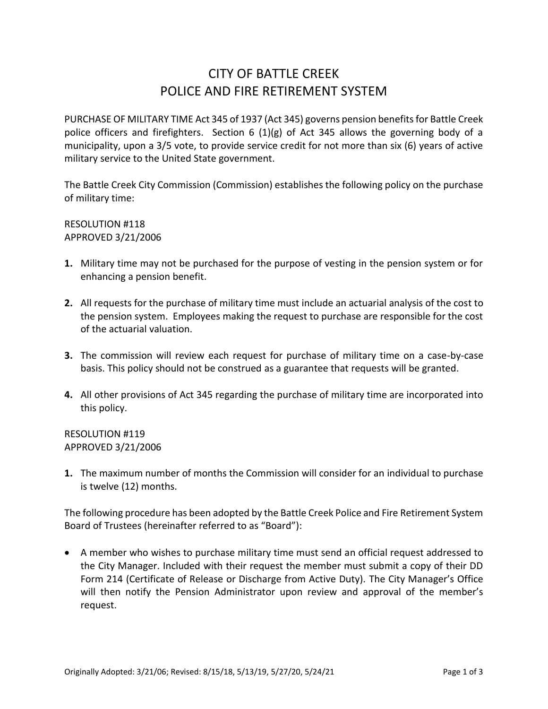## CITY OF BATTLE CREEK POLICE AND FIRE RETIREMENT SYSTEM

PURCHASE OF MILITARY TIME Act 345 of 1937 (Act 345) governs pension benefits for Battle Creek police officers and firefighters. Section 6 (1)(g) of Act 345 allows the governing body of a municipality, upon a 3/5 vote, to provide service credit for not more than six (6) years of active military service to the United State government.

The Battle Creek City Commission (Commission) establishes the following policy on the purchase of military time:

RESOLUTION #118 APPROVED 3/21/2006

- **1.** Military time may not be purchased for the purpose of vesting in the pension system or for enhancing a pension benefit.
- **2.** All requests for the purchase of military time must include an actuarial analysis of the cost to the pension system. Employees making the request to purchase are responsible for the cost of the actuarial valuation.
- **3.** The commission will review each request for purchase of military time on a case-by-case basis. This policy should not be construed as a guarantee that requests will be granted.
- **4.** All other provisions of Act 345 regarding the purchase of military time are incorporated into this policy.

RESOLUTION #119 APPROVED 3/21/2006

**1.** The maximum number of months the Commission will consider for an individual to purchase is twelve (12) months.

The following procedure has been adopted by the Battle Creek Police and Fire Retirement System Board of Trustees (hereinafter referred to as "Board"):

 A member who wishes to purchase military time must send an official request addressed to the City Manager. Included with their request the member must submit a copy of their DD Form 214 (Certificate of Release or Discharge from Active Duty). The City Manager's Office will then notify the Pension Administrator upon review and approval of the member's request.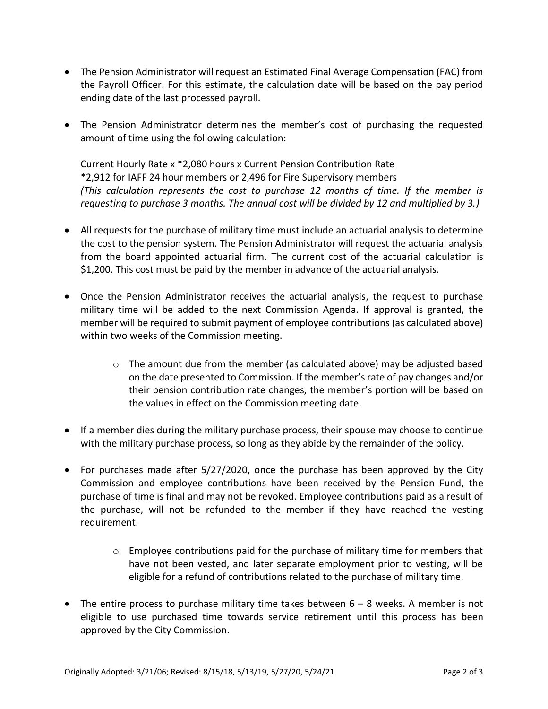- The Pension Administrator will request an Estimated Final Average Compensation (FAC) from the Payroll Officer. For this estimate, the calculation date will be based on the pay period ending date of the last processed payroll.
- The Pension Administrator determines the member's cost of purchasing the requested amount of time using the following calculation:

Current Hourly Rate x \*2,080 hours x Current Pension Contribution Rate \*2,912 for IAFF 24 hour members or 2,496 for Fire Supervisory members *(This calculation represents the cost to purchase 12 months of time. If the member is requesting to purchase 3 months. The annual cost will be divided by 12 and multiplied by 3.)*

- All requests for the purchase of military time must include an actuarial analysis to determine the cost to the pension system. The Pension Administrator will request the actuarial analysis from the board appointed actuarial firm. The current cost of the actuarial calculation is \$1,200. This cost must be paid by the member in advance of the actuarial analysis.
- Once the Pension Administrator receives the actuarial analysis, the request to purchase military time will be added to the next Commission Agenda. If approval is granted, the member will be required to submit payment of employee contributions (as calculated above) within two weeks of the Commission meeting.
	- o The amount due from the member (as calculated above) may be adjusted based on the date presented to Commission. If the member's rate of pay changes and/or their pension contribution rate changes, the member's portion will be based on the values in effect on the Commission meeting date.
- If a member dies during the military purchase process, their spouse may choose to continue with the military purchase process, so long as they abide by the remainder of the policy.
- For purchases made after 5/27/2020, once the purchase has been approved by the City Commission and employee contributions have been received by the Pension Fund, the purchase of time is final and may not be revoked. Employee contributions paid as a result of the purchase, will not be refunded to the member if they have reached the vesting requirement.
	- $\circ$  Employee contributions paid for the purchase of military time for members that have not been vested, and later separate employment prior to vesting, will be eligible for a refund of contributions related to the purchase of military time.
- The entire process to purchase military time takes between  $6 8$  weeks. A member is not eligible to use purchased time towards service retirement until this process has been approved by the City Commission.